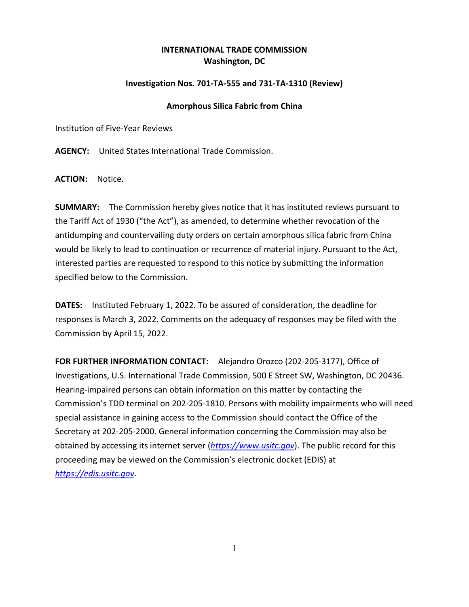## **INTERNATIONAL TRADE COMMISSION Washington, DC**

## **Investigation Nos. 701-TA-555 and 731-TA-1310 (Review)**

## **Amorphous Silica Fabric from China**

Institution of Five-Year Reviews

**AGENCY:** United States International Trade Commission.

**ACTION:** Notice.

**SUMMARY:** The Commission hereby gives notice that it has instituted reviews pursuant to the Tariff Act of 1930 ("the Act"), as amended, to determine whether revocation of the antidumping and countervailing duty orders on certain amorphous silica fabric from China would be likely to lead to continuation or recurrence of material injury. Pursuant to the Act, interested parties are requested to respond to this notice by submitting the information specified below to the Commission.

**DATES:** Instituted February 1, 2022. To be assured of consideration, the deadline for responses is March 3, 2022. Comments on the adequacy of responses may be filed with the Commission by April 15, 2022.

**FOR FURTHER INFORMATION CONTACT**: Alejandro Orozco (202-205-3177), Office of Investigations, U.S. International Trade Commission, 500 E Street SW, Washington, DC 20436. Hearing-impaired persons can obtain information on this matter by contacting the Commission's TDD terminal on 202-205-1810. Persons with mobility impairments who will need special assistance in gaining access to the Commission should contact the Office of the Secretary at 202-205-2000. General information concerning the Commission may also be obtained by accessing its internet server (*[https://www.usitc.gov](https://www.usitc.gov/)*). The public record for this proceeding may be viewed on the Commission's electronic docket (EDIS) at *[https://edis.usitc.gov](https://edis.usitc.gov/)*.

1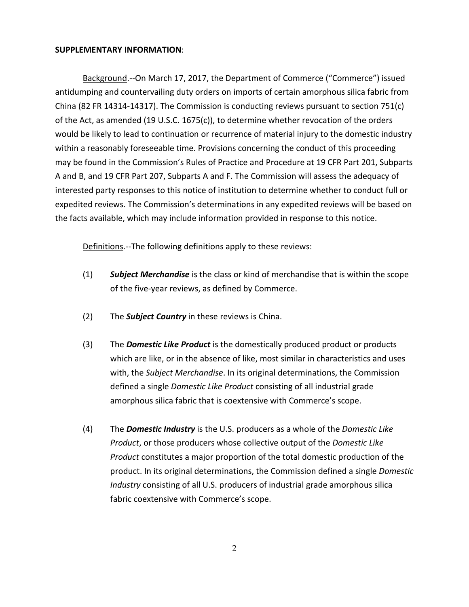## **SUPPLEMENTARY INFORMATION**:

Background.--On March 17, 2017, the Department of Commerce ("Commerce") issued antidumping and countervailing duty orders on imports of certain amorphous silica fabric from China (82 FR 14314-14317). The Commission is conducting reviews pursuant to section 751(c) of the Act, as amended (19 U.S.C. 1675(c)), to determine whether revocation of the orders would be likely to lead to continuation or recurrence of material injury to the domestic industry within a reasonably foreseeable time. Provisions concerning the conduct of this proceeding may be found in the Commission's Rules of Practice and Procedure at 19 CFR Part 201, Subparts A and B, and 19 CFR Part 207, Subparts A and F. The Commission will assess the adequacy of interested party responses to this notice of institution to determine whether to conduct full or expedited reviews. The Commission's determinations in any expedited reviews will be based on the facts available, which may include information provided in response to this notice.

Definitions.--The following definitions apply to these reviews:

- (1) *Subject Merchandise* is the class or kind of merchandise that is within the scope of the five-year reviews, as defined by Commerce.
- (2) The *Subject Country* in these reviews is China.
- (3) The *Domestic Like Product* is the domestically produced product or products which are like, or in the absence of like, most similar in characteristics and uses with, the *Subject Merchandise*. In its original determinations, the Commission defined a single *Domestic Like Product* consisting of all industrial grade amorphous silica fabric that is coextensive with Commerce's scope.
- (4) The *Domestic Industry* is the U.S. producers as a whole of the *Domestic Like Product*, or those producers whose collective output of the *Domestic Like Product* constitutes a major proportion of the total domestic production of the product. In its original determinations, the Commission defined a single *Domestic Industry* consisting of all U.S. producers of industrial grade amorphous silica fabric coextensive with Commerce's scope.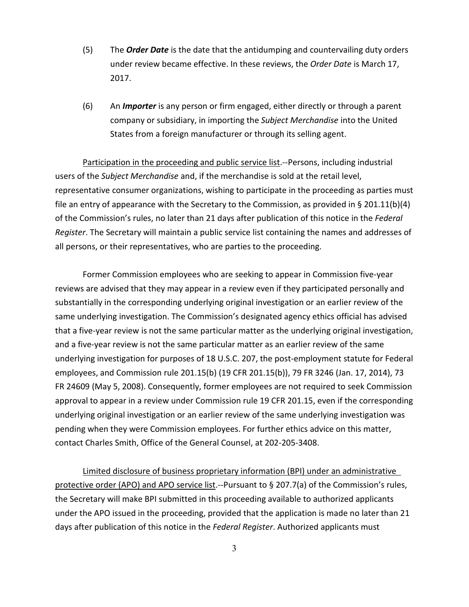- (5) The *Order Date* is the date that the antidumping and countervailing duty orders under review became effective. In these reviews, the *Order Date* is March 17, 2017.
- (6) An *Importer* is any person or firm engaged, either directly or through a parent company or subsidiary, in importing the *Subject Merchandise* into the United States from a foreign manufacturer or through its selling agent.

Participation in the proceeding and public service list.--Persons, including industrial users of the *Subject Merchandise* and, if the merchandise is sold at the retail level, representative consumer organizations, wishing to participate in the proceeding as parties must file an entry of appearance with the Secretary to the Commission, as provided in § 201.11(b)(4) of the Commission's rules, no later than 21 days after publication of this notice in the *Federal Register*. The Secretary will maintain a public service list containing the names and addresses of all persons, or their representatives, who are parties to the proceeding.

Former Commission employees who are seeking to appear in Commission five-year reviews are advised that they may appear in a review even if they participated personally and substantially in the corresponding underlying original investigation or an earlier review of the same underlying investigation. The Commission's designated agency ethics official has advised that a five-year review is not the same particular matter as the underlying original investigation, and a five-year review is not the same particular matter as an earlier review of the same underlying investigation for purposes of 18 U.S.C. 207, the post-employment statute for Federal employees, and Commission rule 201.15(b) (19 CFR 201.15(b)), 79 FR 3246 (Jan. 17, 2014), 73 FR 24609 (May 5, 2008). Consequently, former employees are not required to seek Commission approval to appear in a review under Commission rule 19 CFR 201.15, even if the corresponding underlying original investigation or an earlier review of the same underlying investigation was pending when they were Commission employees. For further ethics advice on this matter, contact Charles Smith, Office of the General Counsel, at 202-205-3408.

Limited disclosure of business proprietary information (BPI) under an administrative protective order (APO) and APO service list.--Pursuant to § 207.7(a) of the Commission's rules, the Secretary will make BPI submitted in this proceeding available to authorized applicants under the APO issued in the proceeding, provided that the application is made no later than 21 days after publication of this notice in the *Federal Register*. Authorized applicants must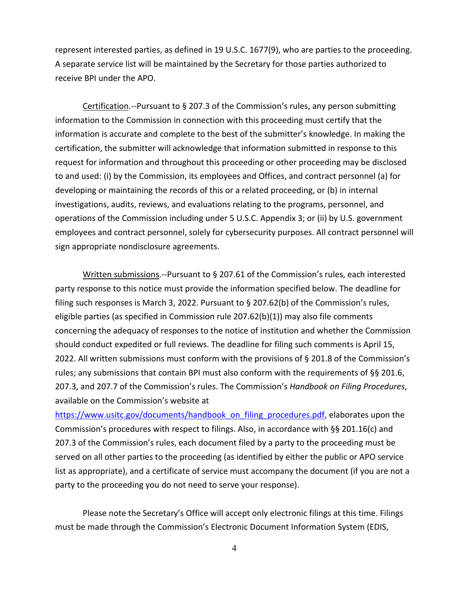represent interested parties, as defined in 19 U.S.C. 1677(9), who are parties to the proceeding. A separate service list will be maintained by the Secretary for those parties authorized to receive BPI under the APO.

Certification.--Pursuant to § 207.3 of the Commission's rules, any person submitting information to the Commission in connection with this proceeding must certify that the information is accurate and complete to the best of the submitter's knowledge. In making the certification, the submitter will acknowledge that information submitted in response to this request for information and throughout this proceeding or other proceeding may be disclosed to and used: (i) by the Commission, its employees and Offices, and contract personnel (a) for developing or maintaining the records of this or a related proceeding, or (b) in internal investigations, audits, reviews, and evaluations relating to the programs, personnel, and operations of the Commission including under 5 U.S.C. Appendix 3; or (ii) by U.S. government employees and contract personnel, solely for cybersecurity purposes. All contract personnel will sign appropriate nondisclosure agreements.

Written submissions.--Pursuant to § 207.61 of the Commission's rules, each interested party response to this notice must provide the information specified below. The deadline for filing such responses is March 3, 2022. Pursuant to § 207.62(b) of the Commission's rules, eligible parties (as specified in Commission rule 207.62(b)(1)) may also file comments concerning the adequacy of responses to the notice of institution and whether the Commission should conduct expedited or full reviews. The deadline for filing such comments is April 15, 2022. All written submissions must conform with the provisions of § 201.8 of the Commission's rules; any submissions that contain BPI must also conform with the requirements of §§ 201.6, 207.3, and 207.7 of the Commission's rules. The Commission's *Handbook on Filing Procedures*, available on the Commission's website at

[https://www.usitc.gov/documents/handbook\\_on\\_filing\\_procedures.pdf,](https://www.usitc.gov/documents/handbook_on_filing_procedures.pdf) elaborates upon the Commission's procedures with respect to filings. Also, in accordance with §§ 201.16(c) and 207.3 of the Commission's rules, each document filed by a party to the proceeding must be served on all other parties to the proceeding (as identified by either the public or APO service list as appropriate), and a certificate of service must accompany the document (if you are not a party to the proceeding you do not need to serve your response).

Please note the Secretary's Office will accept only electronic filings at this time. Filings must be made through the Commission's Electronic Document Information System (EDIS,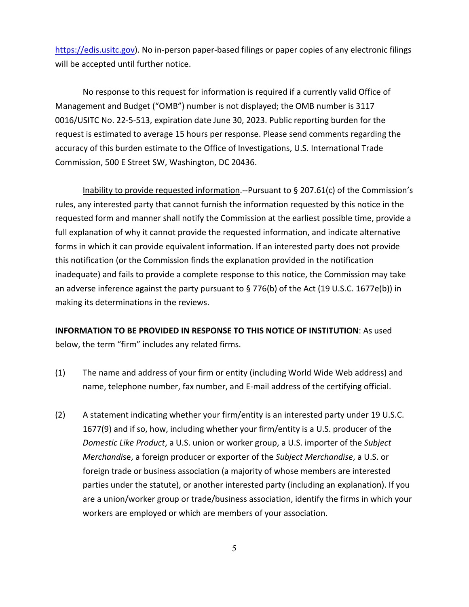[https://edis.usitc.gov\)](https://edis.usitc.gov/). No in-person paper-based filings or paper copies of any electronic filings will be accepted until further notice.

No response to this request for information is required if a currently valid Office of Management and Budget ("OMB") number is not displayed; the OMB number is 3117 0016/USITC No. 22-5-513, expiration date June 30, 2023. Public reporting burden for the request is estimated to average 15 hours per response. Please send comments regarding the accuracy of this burden estimate to the Office of Investigations, U.S. International Trade Commission, 500 E Street SW, Washington, DC 20436.

Inability to provide requested information.--Pursuant to § 207.61(c) of the Commission's rules, any interested party that cannot furnish the information requested by this notice in the requested form and manner shall notify the Commission at the earliest possible time, provide a full explanation of why it cannot provide the requested information, and indicate alternative forms in which it can provide equivalent information. If an interested party does not provide this notification (or the Commission finds the explanation provided in the notification inadequate) and fails to provide a complete response to this notice, the Commission may take an adverse inference against the party pursuant to § 776(b) of the Act (19 U.S.C. 1677e(b)) in making its determinations in the reviews.

**INFORMATION TO BE PROVIDED IN RESPONSE TO THIS NOTICE OF INSTITUTION**: As used below, the term "firm" includes any related firms.

- (1) The name and address of your firm or entity (including World Wide Web address) and name, telephone number, fax number, and E-mail address of the certifying official.
- (2) A statement indicating whether your firm/entity is an interested party under 19 U.S.C. 1677(9) and if so, how, including whether your firm/entity is a U.S. producer of the *Domestic Like Product*, a U.S. union or worker group, a U.S. importer of the *Subject Merchandi*se, a foreign producer or exporter of the *Subject Merchandise*, a U.S. or foreign trade or business association (a majority of whose members are interested parties under the statute), or another interested party (including an explanation). If you are a union/worker group or trade/business association, identify the firms in which your workers are employed or which are members of your association.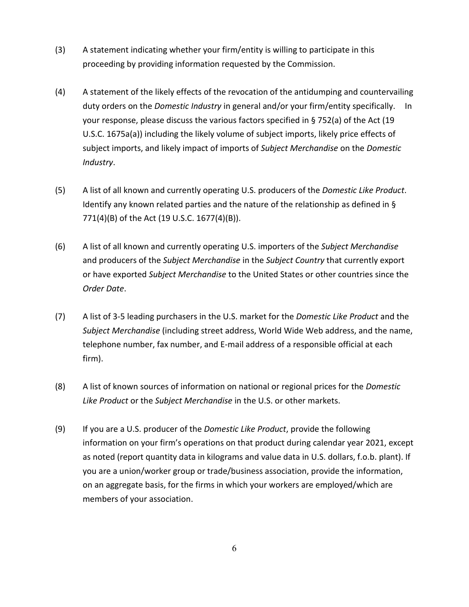- (3) A statement indicating whether your firm/entity is willing to participate in this proceeding by providing information requested by the Commission.
- (4) A statement of the likely effects of the revocation of the antidumping and countervailing duty orders on the *Domestic Industry* in general and/or your firm/entity specifically. In your response, please discuss the various factors specified in § 752(a) of the Act (19 U.S.C. 1675a(a)) including the likely volume of subject imports, likely price effects of subject imports, and likely impact of imports of *Subject Merchandise* on the *Domestic Industry*.
- (5) A list of all known and currently operating U.S. producers of the *Domestic Like Product*. Identify any known related parties and the nature of the relationship as defined in § 771(4)(B) of the Act (19 U.S.C. 1677(4)(B)).
- (6) A list of all known and currently operating U.S. importers of the *Subject Merchandise* and producers of the *Subject Merchandise* in the *Subject Country* that currently export or have exported *Subject Merchandise* to the United States or other countries since the *Order Date*.
- (7) A list of 3-5 leading purchasers in the U.S. market for the *Domestic Like Product* and the *Subject Merchandise* (including street address, World Wide Web address, and the name, telephone number, fax number, and E-mail address of a responsible official at each firm).
- (8) A list of known sources of information on national or regional prices for the *Domestic Like Product* or the *Subject Merchandise* in the U.S. or other markets.
- (9) If you are a U.S. producer of the *Domestic Like Product*, provide the following information on your firm's operations on that product during calendar year 2021, except as noted (report quantity data in kilograms and value data in U.S. dollars, f.o.b. plant). If you are a union/worker group or trade/business association, provide the information, on an aggregate basis, for the firms in which your workers are employed/which are members of your association.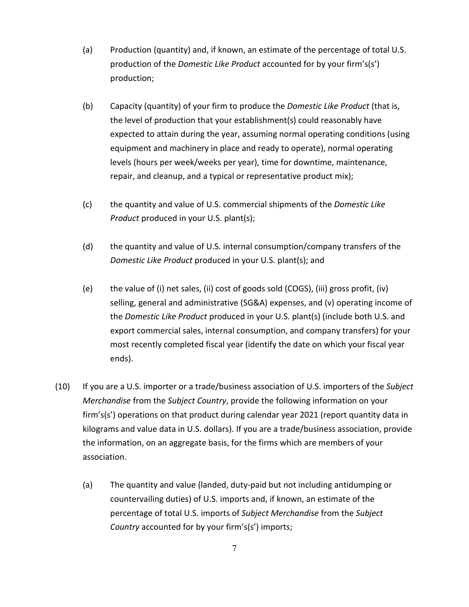- (a) Production (quantity) and, if known, an estimate of the percentage of total U.S. production of the *Domestic Like Product* accounted for by your firm's(s') production;
- (b) Capacity (quantity) of your firm to produce the *Domestic Like Product* (that is, the level of production that your establishment(s) could reasonably have expected to attain during the year, assuming normal operating conditions (using equipment and machinery in place and ready to operate), normal operating levels (hours per week/weeks per year), time for downtime, maintenance, repair, and cleanup, and a typical or representative product mix);
- (c) the quantity and value of U.S. commercial shipments of the *Domestic Like Product* produced in your U.S. plant(s);
- (d) the quantity and value of U.S. internal consumption/company transfers of the *Domestic Like Product* produced in your U.S. plant(s); and
- (e) the value of (i) net sales, (ii) cost of goods sold (COGS), (iii) gross profit, (iv) selling, general and administrative (SG&A) expenses, and (v) operating income of the *Domestic Like Product* produced in your U.S. plant(s) (include both U.S. and export commercial sales, internal consumption, and company transfers) for your most recently completed fiscal year (identify the date on which your fiscal year ends).
- (10) If you are a U.S. importer or a trade/business association of U.S. importers of the *Subject Merchandise* from the *Subject Country*, provide the following information on your firm's(s') operations on that product during calendar year 2021 (report quantity data in kilograms and value data in U.S. dollars). If you are a trade/business association, provide the information, on an aggregate basis, for the firms which are members of your association.
	- (a) The quantity and value (landed, duty-paid but not including antidumping or countervailing duties) of U.S. imports and, if known, an estimate of the percentage of total U.S. imports of *Subject Merchandise* from the *Subject Country* accounted for by your firm's(s') imports;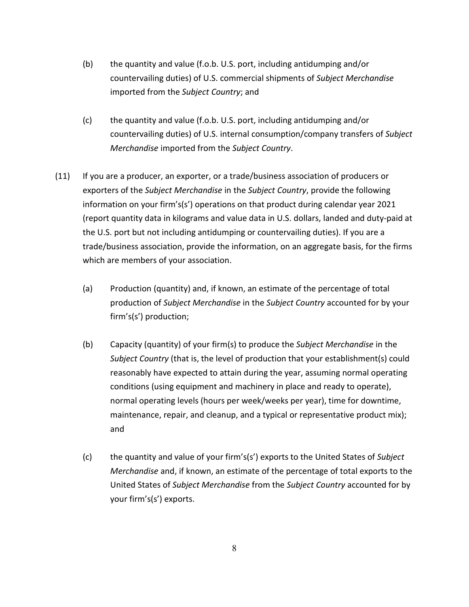- (b) the quantity and value (f.o.b. U.S. port, including antidumping and/or countervailing duties) of U.S. commercial shipments of *Subject Merchandise* imported from the *Subject Country*; and
- (c) the quantity and value (f.o.b. U.S. port, including antidumping and/or countervailing duties) of U.S. internal consumption/company transfers of *Subject Merchandise* imported from the *Subject Country*.
- (11) If you are a producer, an exporter, or a trade/business association of producers or exporters of the *Subject Merchandise* in the *Subject Country*, provide the following information on your firm's(s') operations on that product during calendar year 2021 (report quantity data in kilograms and value data in U.S. dollars, landed and duty-paid at the U.S. port but not including antidumping or countervailing duties). If you are a trade/business association, provide the information, on an aggregate basis, for the firms which are members of your association.
	- (a) Production (quantity) and, if known, an estimate of the percentage of total production of *Subject Merchandise* in the *Subject Country* accounted for by your firm's(s') production;
	- (b) Capacity (quantity) of your firm(s) to produce the *Subject Merchandise* in the *Subject Country* (that is, the level of production that your establishment(s) could reasonably have expected to attain during the year, assuming normal operating conditions (using equipment and machinery in place and ready to operate), normal operating levels (hours per week/weeks per year), time for downtime, maintenance, repair, and cleanup, and a typical or representative product mix); and
	- (c) the quantity and value of your firm's(s') exports to the United States of *Subject Merchandise* and, if known, an estimate of the percentage of total exports to the United States of *Subject Merchandise* from the *Subject Country* accounted for by your firm's(s') exports.